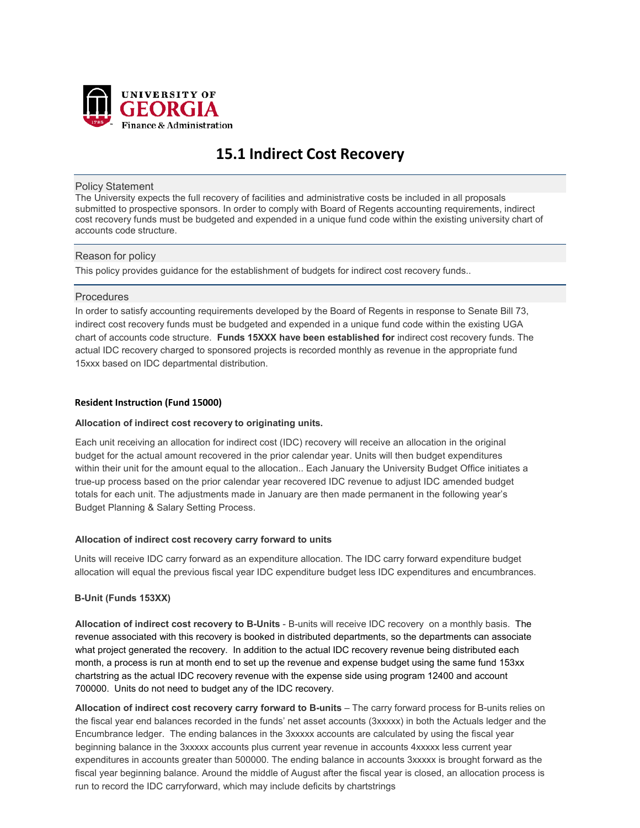

# **15.1 Indirect Cost Recovery**

#### Policy Statement

The University expects the full recovery of facilities and administrative costs be included in all proposals submitted to prospective sponsors. In order to comply with Board of Regents accounting requirements, indirect cost recovery funds must be budgeted and expended in a unique fund code within the existing university chart of accounts code structure.

# Reason for policy

This policy provides guidance for the establishment of budgets for indirect cost recovery funds..

# **Procedures**

In order to satisfy accounting requirements developed by the Board of Regents in response to Senate Bill 73, indirect cost recovery funds must be budgeted and expended in a unique fund code within the existing UGA chart of accounts code structure. **Funds 15XXX have been established for** indirect cost recovery funds. The actual IDC recovery charged to sponsored projects is recorded monthly as revenue in the appropriate fund 15xxx based on IDC departmental distribution.

# **Resident Instruction (Fund 15000)**

# **Allocation of indirect cost recovery to originating units.**

Each unit receiving an allocation for indirect cost (IDC) recovery will receive an allocation in the original budget for the actual amount recovered in the prior calendar year. Units will then budget expenditures within their unit for the amount equal to the allocation.. Each January the University Budget Office initiates a true-up process based on the prior calendar year recovered IDC revenue to adjust IDC amended budget totals for each unit. The adjustments made in January are then made permanent in the following year's Budget Planning & Salary Setting Process.

# **Allocation of indirect cost recovery carry forward to units**

Units will receive IDC carry forward as an expenditure allocation. The IDC carry forward expenditure budget allocation will equal the previous fiscal year IDC expenditure budget less IDC expenditures and encumbrances.

# **B-Unit (Funds 153XX)**

**Allocation of indirect cost recovery to B-Units** - B-units will receive IDC recovery on a monthly basis. The revenue associated with this recovery is booked in distributed departments, so the departments can associate what project generated the recovery. In addition to the actual IDC recovery revenue being distributed each month, a process is run at month end to set up the revenue and expense budget using the same fund 153xx chartstring as the actual IDC recovery revenue with the expense side using program 12400 and account 700000. Units do not need to budget any of the IDC recovery.

**Allocation of indirect cost recovery carry forward to B-units** – The carry forward process for B-units relies on the fiscal year end balances recorded in the funds' net asset accounts (3xxxxx) in both the Actuals ledger and the Encumbrance ledger. The ending balances in the 3xxxxx accounts are calculated by using the fiscal year beginning balance in the 3xxxxx accounts plus current year revenue in accounts 4xxxxx less current year expenditures in accounts greater than 500000. The ending balance in accounts 3xxxxx is brought forward as the fiscal year beginning balance. Around the middle of August after the fiscal year is closed, an allocation process is run to record the IDC carryforward, which may include deficits by chartstrings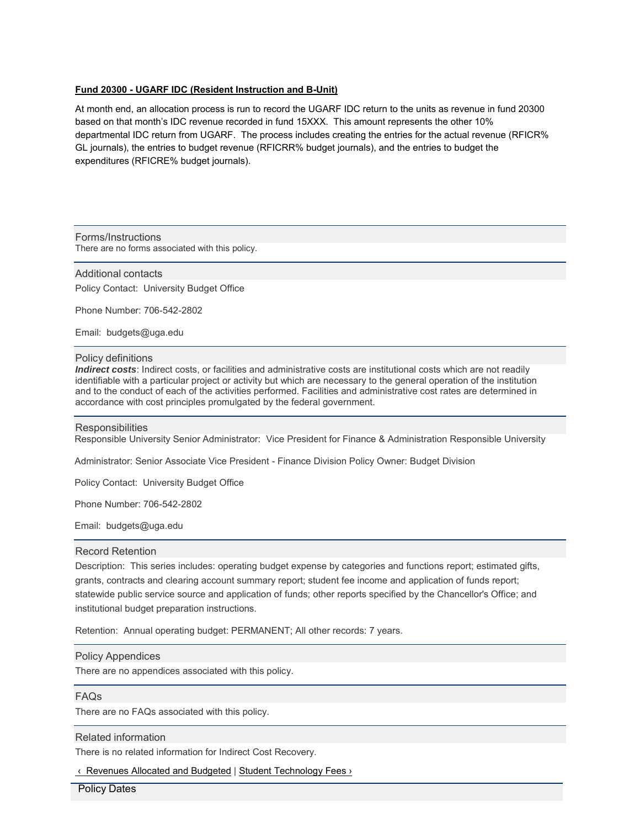# **Fund 20300 - UGARF IDC (Resident Instruction and B-Unit)**

At month end, an allocation process is run to record the UGARF IDC return to the units as revenue in fund 20300 based on that month's IDC revenue recorded in fund 15XXX. This amount represents the other 10% departmental IDC return from UGARF. The process includes creating the entries for the actual revenue (RFICR% GL journals), the entries to budget revenue (RFICRR% budget journals), and the entries to budget the expenditures (RFICRE% budget journals).

Forms/Instructions There are no forms associated with this policy.

Additional contacts Policy Contact: University Budget Office

Phone Number: 706-542-2802

Email: budgets@uga.edu

#### Policy definitions

*Indirect costs*: Indirect costs, or facilities and administrative costs are institutional costs which are not readily identifiable with a particular project or activity but which are necessary to the general operation of the institution and to the conduct of each of the activities performed. Facilities and administrative cost rates are determined in accordance with cost principles promulgated by the federal government.

#### **Responsibilities**

Responsible University Senior Administrator: Vice President for Finance & Administration Responsible University

Administrator: Senior Associate Vice President - Finance Division Policy Owner: Budget Division

Policy Contact: University Budget Office

Phone Number: 706-542-2802

Email: budgets@uga.edu

# Record Retention

Description: This series includes: operating budget expense by categories and functions report; estimated gifts, grants, contracts and clearing account summary report; student fee income and application of funds report; statewide public service source and application of funds; other reports specified by the Chancellor's Office; and institutional budget preparation instructions.

Retention: Annual operating budget: PERMANENT; All other records: 7 years.

#### Policy Appendices

There are no appendices associated with this policy.

#### FAQs

There are no FAQs associated with this policy.

#### Related information

There is no related information for Indirect Cost Recovery.

‹ Revenues Allocated and Budgeted | Student Technology Fees ›

Policy Dates